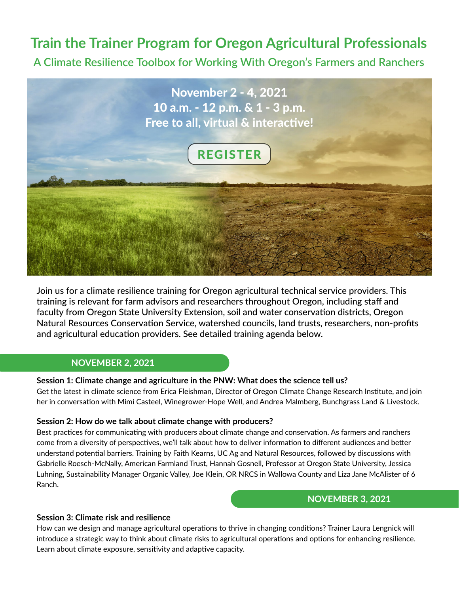# **Train the Trainer Program for Oregon Agricultural Professionals**

**A Climate Resilience Toolbox for Working With Oregon's Farmers and Ranchers**



Join us for a climate resilience training for Oregon agricultural technical service providers. This training is relevant for farm advisors and researchers throughout Oregon, including staff and faculty from Oregon State University Extension, soil and water conservation districts, Oregon Natural Resources Conservation Service, watershed councils, land trusts, researchers, non-profits and agricultural education providers. See detailed training agenda below.

## **NOVEMBER 2, 2021**

#### **Session 1: Climate change and agriculture in the PNW: What does the science tell us?**

Get the latest in climate science from Erica Fleishman, Director of Oregon Climate Change Research Institute, and join her in conversation with Mimi Casteel, Winegrower-Hope Well, and Andrea Malmberg, Bunchgrass Land & Livestock.

#### **Session 2: How do we talk about climate change with producers?**

Best practices for communicating with producers about climate change and conservation. As farmers and ranchers come from a diversity of perspectives, we'll talk about how to deliver information to different audiences and better understand potential barriers. Training by Faith Kearns, UC Ag and Natural Resources, followed by discussions with Gabrielle Roesch-McNally, American Farmland Trust, Hannah Gosnell, Professor at Oregon State University, Jessica Luhning, Sustainability Manager Organic Valley, Joe Klein, OR NRCS in Wallowa County and Liza Jane McAlister of 6 Ranch.

## **NOVEMBER 3, 2021**

#### **Session 3: Climate risk and resilience**

How can we design and manage agricultural operations to thrive in changing conditions? Trainer Laura Lengnick will introduce a strategic way to think about climate risks to agricultural operations and options for enhancing resilience. Learn about climate exposure, sensitivity and adaptive capacity.